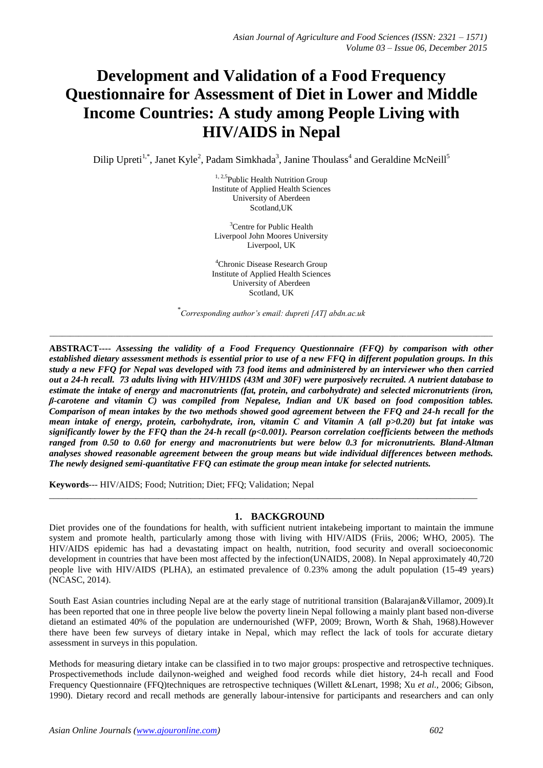# **Development and Validation of a Food Frequency Questionnaire for Assessment of Diet in Lower and Middle Income Countries: A study among People Living with HIV/AIDS in Nepal**

Dilip Upreti<sup>1,\*</sup>, Janet Kyle<sup>2</sup>, Padam Simkhada<sup>3</sup>, Janine Thoulass<sup>4</sup> and Geraldine McNeill<sup>5</sup>

<sup>1, 2,5</sup>Public Health Nutrition Group Institute of Applied Health Sciences University of Aberdeen Scotland,UK

<sup>3</sup>Centre for Public Health Liverpool John Moores University Liverpool, UK

<sup>4</sup>Chronic Disease Research Group Institute of Applied Health Sciences University of Aberdeen Scotland, UK

\* *Corresponding author's email: dupreti [AT] abdn.ac.uk*

\_\_\_\_\_\_\_\_\_\_\_\_\_\_\_\_\_\_\_\_\_\_\_\_\_\_\_\_\_\_\_\_\_\_\_\_\_\_\_\_\_\_\_\_\_\_\_\_\_\_\_\_\_\_\_\_\_\_\_\_\_\_\_\_\_\_\_\_\_\_\_\_\_\_\_\_\_\_\_\_\_\_\_\_\_\_\_\_\_\_\_\_\_\_\_\_\_\_\_\_\_\_\_\_\_\_\_\_

**ABSTRACT----** *Assessing the validity of a Food Frequency Questionnaire (FFQ) by comparison with other established dietary assessment methods is essential prior to use of a new FFQ in different population groups. In this study a new FFQ for Nepal was developed with 73 food items and administered by an interviewer who then carried out a 24-h recall. 73 adults living with HIV/HIDS (43M and 30F) were purposively recruited. A nutrient database to estimate the intake of energy and macronutrients (fat, protein, and carbohydrate) and selected micronutrients (iron, β-carotene and vitamin C) was compiled from Nepalese, Indian and UK based on food composition tables. Comparison of mean intakes by the two methods showed good agreement between the FFQ and 24-h recall for the mean intake of energy, protein, carbohydrate, iron, vitamin C and Vitamin A (all p>0.20) but fat intake was significantly lower by the FFQ than the 24-h recall (p<0.001). Pearson correlation coefficients between the methods ranged from 0.50 to 0.60 for energy and macronutrients but were below 0.3 for micronutrients. Bland-Altman analyses showed reasonable agreement between the group means but wide individual differences between methods. The newly designed semi-quantitative FFQ can estimate the group mean intake for selected nutrients.* 

**Keywords**--- HIV/AIDS; Food; Nutrition; Diet; FFQ; Validation; Nepal

# **1. BACKGROUND**

\_\_\_\_\_\_\_\_\_\_\_\_\_\_\_\_\_\_\_\_\_\_\_\_\_\_\_\_\_\_\_\_\_\_\_\_\_\_\_\_\_\_\_\_\_\_\_\_\_\_\_\_\_\_\_\_\_\_\_\_\_\_\_\_\_\_\_\_\_\_\_\_\_\_\_\_\_\_\_\_\_\_\_\_\_\_\_\_\_\_\_\_\_\_

Diet provides one of the foundations for health, with sufficient nutrient intakebeing important to maintain the immune system and promote health, particularly among those with living with HIV/AIDS (Friis, 2006; WHO, 2005). The HIV/AIDS epidemic has had a devastating impact on health, nutrition, food security and overall socioeconomic development in countries that have been most affected by the infection(UNAIDS, 2008). In Nepal approximately 40,720 people live with HIV/AIDS (PLHA), an estimated prevalence of 0.23% among the adult population (15-49 years) (NCASC, 2014).

South East Asian countries including Nepal are at the early stage of nutritional transition (Balarajan&Villamor, 2009).It has been reported that one in three people live below the poverty linein Nepal following a mainly plant based non-diverse dietand an estimated 40% of the population are undernourished (WFP, 2009; Brown, Worth & Shah, 1968).However there have been few surveys of dietary intake in Nepal, which may reflect the lack of tools for accurate dietary assessment in surveys in this population.

Methods for measuring dietary intake can be classified in to two major groups: prospective and retrospective techniques. Prospectivemethods include dailynon-weighed and weighed food records while diet history, 24-h recall and Food Frequency Questionnaire (FFQ)techniques are retrospective techniques (Willett &Lenart, 1998; Xu *et al.,* 2006; Gibson, 1990). Dietary record and recall methods are generally labour-intensive for participants and researchers and can only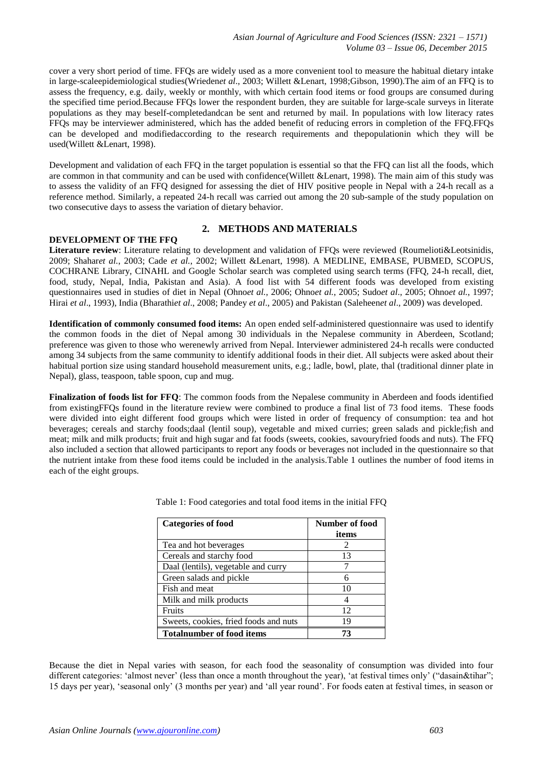cover a very short period of time. FFQs are widely used as a more convenient tool to measure the habitual dietary intake in large-scaleepidemiological studies(Wrieden*et al*., 2003; Willett &Lenart, 1998;Gibson, 1990).The aim of an FFQ is to assess the frequency, e.g. daily, weekly or monthly, with which certain food items or food groups are consumed during the specified time period.Because FFQs lower the respondent burden, they are suitable for large-scale surveys in literate populations as they may beself-completedandcan be sent and returned by mail. In populations with low literacy rates FFQs may be interviewer administered, which has the added benefit of reducing errors in completion of the FFQ.FFQs can be developed and modifiedaccording to the research requirements and thepopulationin which they will be used(Willett &Lenart, 1998).

Development and validation of each FFQ in the target population is essential so that the FFQ can list all the foods, which are common in that community and can be used with confidence(Willett &Lenart, 1998). The main aim of this study was to assess the validity of an FFQ designed for assessing the diet of HIV positive people in Nepal with a 24-h recall as a reference method. Similarly, a repeated 24-h recall was carried out among the 20 sub-sample of the study population on two consecutive days to assess the variation of dietary behavior.

## **DEVELOPMENT OF THE FFQ**

## **2. METHODS AND MATERIALS**

**Literature review**: Literature relating to development and validation of FFQs were reviewed (Roumelioti&Leotsinidis, 2009; Shahar*et al.*, 2003; Cade *et al.*, 2002; Willett &Lenart, 1998). A MEDLINE, EMBASE, PUBMED, SCOPUS, COCHRANE Library, CINAHL and Google Scholar search was completed using search terms (FFQ, 24-h recall, diet, food, study, Nepal, India, Pakistan and Asia). A food list with 54 different foods was developed from existing questionnaires used in studies of diet in Nepal (Ohno*et al.*, 2006; Ohno*et al.*, 2005; Sudo*et al*., 2005; Ohno*et al.*, 1997; Hirai *et al*., 1993), India (Bharathi*et al*., 2008; Pandey *et al*., 2005) and Pakistan (Saleheen*et al*., 2009) was developed.

**Identification of commonly consumed food items:** An open ended self-administered questionnaire was used to identify the common foods in the diet of Nepal among 30 individuals in the Nepalese community in Aberdeen, Scotland; preference was given to those who werenewly arrived from Nepal. Interviewer administered 24-h recalls were conducted among 34 subjects from the same community to identify additional foods in their diet. All subjects were asked about their habitual portion size using standard household measurement units, e.g.; ladle, bowl, plate, thal (traditional dinner plate in Nepal), glass, teaspoon, table spoon, cup and mug.

**Finalization of foods list for FFQ**: The common foods from the Nepalese community in Aberdeen and foods identified from existingFFQs found in the literature review were combined to produce a final list of 73 food items. These foods were divided into eight different food groups which were listed in order of frequency of consumption: tea and hot beverages; cereals and starchy foods;daal (lentil soup), vegetable and mixed curries; green salads and pickle;fish and meat; milk and milk products; fruit and high sugar and fat foods (sweets, cookies, savouryfried foods and nuts). The FFQ also included a section that allowed participants to report any foods or beverages not included in the questionnaire so that the nutrient intake from these food items could be included in the analysis.Table 1 outlines the number of food items in each of the eight groups.

| <b>Categories of food</b>             | Number of food<br>items |
|---------------------------------------|-------------------------|
| Tea and hot beverages                 | 2                       |
| Cereals and starchy food              | 13                      |
| Daal (lentils), vegetable and curry   |                         |
| Green salads and pickle               | 6                       |
| Fish and meat                         | 10                      |
| Milk and milk products                |                         |
| Fruits                                | 12                      |
| Sweets, cookies, fried foods and nuts | 19                      |
| <b>Totalnumber of food items</b>      | 73                      |

Table 1: Food categories and total food items in the initial FFQ

Because the diet in Nepal varies with season, for each food the seasonality of consumption was divided into four different categories: 'almost never' (less than once a month throughout the year), 'at festival times only' ("dasain&tihar"; 15 days per year), 'seasonal only' (3 months per year) and 'all year round'. For foods eaten at festival times, in season or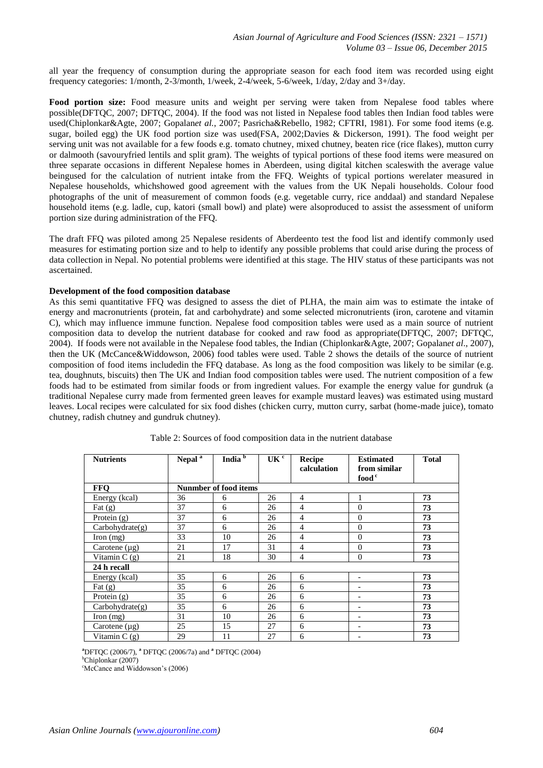all year the frequency of consumption during the appropriate season for each food item was recorded using eight frequency categories: 1/month, 2-3/month, 1/week, 2-4/week, 5-6/week, 1/day, 2/day and 3+/day.

**Food portion size:** Food measure units and weight per serving were taken from Nepalese food tables where possible(DFTQC, 2007; DFTQC, 2004). If the food was not listed in Nepalese food tables then Indian food tables were used(Chiplonkar&Agte, 2007; Gopalan*et al.*, 2007; Pasricha&Rebello, 1982; CFTRI, 1981). For some food items (e.g. sugar, boiled egg) the UK food portion size was used(FSA, 2002;Davies & Dickerson, 1991). The food weight per serving unit was not available for a few foods e.g. tomato chutney, mixed chutney, beaten rice (rice flakes), mutton curry or dalmooth (savouryfried lentils and split gram). The weights of typical portions of these food items were measured on three separate occasions in different Nepalese homes in Aberdeen, using digital kitchen scaleswith the average value beingused for the calculation of nutrient intake from the FFQ. Weights of typical portions werelater measured in Nepalese households, whichshowed good agreement with the values from the UK Nepali households. Colour food photographs of the unit of measurement of common foods (e.g. vegetable curry, rice anddaal) and standard Nepalese household items (e.g. ladle, cup, katori (small bowl) and plate) were alsoproduced to assist the assessment of uniform portion size during administration of the FFQ.

The draft FFQ was piloted among 25 Nepalese residents of Aberdeento test the food list and identify commonly used measures for estimating portion size and to help to identify any possible problems that could arise during the process of data collection in Nepal. No potential problems were identified at this stage. The HIV status of these participants was not ascertained.

#### **Development of the food composition database**

As this semi quantitative FFQ was designed to assess the diet of PLHA, the main aim was to estimate the intake of energy and macronutrients (protein, fat and carbohydrate) and some selected micronutrients (iron, carotene and vitamin C), which may influence immune function. Nepalese food composition tables were used as a main source of nutrient composition data to develop the nutrient database for cooked and raw food as appropriate(DFTQC, 2007; DFTQC, 2004). If foods were not available in the Nepalese food tables, the Indian (Chiplonkar&Agte, 2007; Gopalan*et al*., 2007), then the UK (McCance&Widdowson, 2006) food tables were used. Table 2 shows the details of the source of nutrient composition of food items includedin the FFQ database. As long as the food composition was likely to be similar (e.g. tea, doughnuts, biscuits) then The UK and Indian food composition tables were used. The nutrient composition of a few foods had to be estimated from similar foods or from ingredient values. For example the energy value for gundruk (a traditional Nepalese curry made from fermented green leaves for example mustard leaves) was estimated using mustard leaves. Local recipes were calculated for six food dishes (chicken curry, mutton curry, sarbat (home-made juice), tomato chutney, radish chutney and gundruk chutney).

| <b>Nutrients</b>   | Nepal <sup>a</sup>           | India $\overline{b}$ | UK <sup>c</sup> | Recipe<br>calculation | <b>Estimated</b><br>from similar<br>food <sup>c</sup> | <b>Total</b> |  |  |
|--------------------|------------------------------|----------------------|-----------------|-----------------------|-------------------------------------------------------|--------------|--|--|
| <b>FFO</b>         | <b>Nunmber of food items</b> |                      |                 |                       |                                                       |              |  |  |
| Energy (kcal)      | 36                           | 6                    | 26              | $\overline{4}$        |                                                       | 73           |  |  |
| Fat $(g)$          | 37                           | 6                    | 26              | $\overline{4}$        | $\Omega$                                              | 73           |  |  |
| Protein $(g)$      | 37                           | 6                    | 26              | 4                     | $\Omega$                                              | 73           |  |  |
| Carbohydrate(g)    | 37                           | 6                    | 26              | 4                     | $\Omega$                                              | 73           |  |  |
| Iron $(mg)$        | 33                           | 10                   | 26              | 4                     | $\Omega$                                              | 73           |  |  |
| Carotene $(\mu g)$ | 21                           | 17                   | 31              | 4                     | $\Omega$                                              | 73           |  |  |
| Vitamin $C(g)$     | 21                           | 18                   | 30              | 4                     | $\Omega$                                              | 73           |  |  |
| 24 h recall        |                              |                      |                 |                       |                                                       |              |  |  |
| Energy (kcal)      | 35                           | 6                    | 26              | 6                     |                                                       | 73           |  |  |
| Fat $(g)$          | 35                           | 6                    | 26              | 6                     |                                                       | 73           |  |  |
| Protein $(g)$      | 35                           | 6                    | 26              | 6                     |                                                       | 73           |  |  |
| Carbohydrate(g)    | 35                           | 6                    | 26              | 6                     |                                                       | 73           |  |  |
| Iron $(mg)$        | 31                           | 10                   | 26              | 6                     |                                                       | 73           |  |  |
| Carotene $(\mu g)$ | 25                           | 15                   | 27              | 6                     |                                                       | 73           |  |  |
| Vitamin $C(g)$     | 29                           | 11                   | 27              | 6                     |                                                       | 73           |  |  |

Table 2: Sources of food composition data in the nutrient database

**<sup>a</sup>**DFTQC (2006/7), **<sup>a</sup>** DFTQC (2006/7a) and **<sup>a</sup>** DFTQC (2004)

<sup>b</sup>Chiplonkar (2007)

<sup>e</sup>McCance and Widdowson's (2006)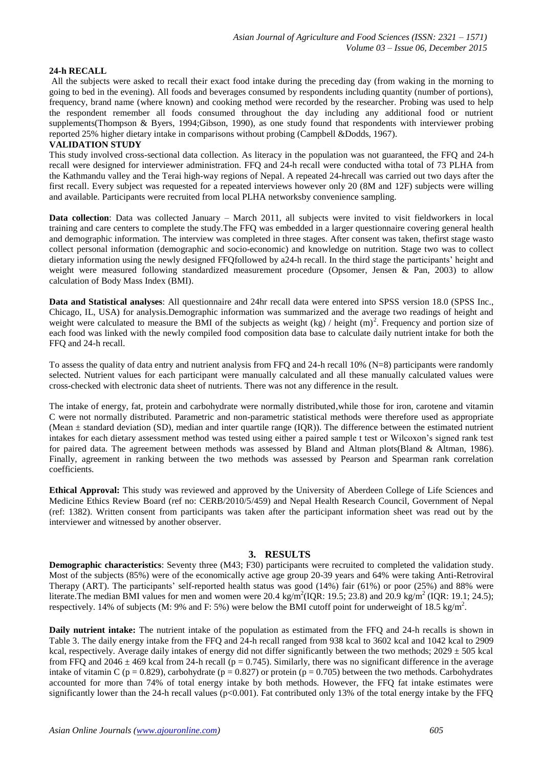## **24-h RECALL**

All the subjects were asked to recall their exact food intake during the preceding day (from waking in the morning to going to bed in the evening). All foods and beverages consumed by respondents including quantity (number of portions), frequency, brand name (where known) and cooking method were recorded by the researcher. Probing was used to help the respondent remember all foods consumed throughout the day including any additional food or nutrient supplements(Thompson & Byers, 1994;Gibson, 1990), as one study found that respondents with interviewer probing reported 25% higher dietary intake in comparisons without probing (Campbell &Dodds, 1967).

## **VALIDATION STUDY**

This study involved cross-sectional data collection. As literacy in the population was not guaranteed, the FFQ and 24-h recall were designed for interviewer administration. FFQ and 24-h recall were conducted witha total of 73 PLHA from the Kathmandu valley and the Terai high-way regions of Nepal. A repeated 24-hrecall was carried out two days after the first recall. Every subject was requested for a repeated interviews however only 20 (8M and 12F) subjects were willing and available. Participants were recruited from local PLHA networksby convenience sampling.

**Data collection**: Data was collected January – March 2011, all subjects were invited to visit fieldworkers in local training and care centers to complete the study.The FFQ was embedded in a larger questionnaire covering general health and demographic information. The interview was completed in three stages. After consent was taken, thefirst stage wasto collect personal information (demographic and socio-economic) and knowledge on nutrition. Stage two was to collect dietary information using the newly designed FFQfollowed by a24-h recall. In the third stage the participants' height and weight were measured following standardized measurement procedure (Opsomer, Jensen & Pan, 2003) to allow calculation of Body Mass Index (BMI).

**Data and Statistical analyses**: All questionnaire and 24hr recall data were entered into SPSS version 18.0 (SPSS Inc., Chicago, IL, USA) for analysis.Demographic information was summarized and the average two readings of height and weight were calculated to measure the BMI of the subjects as weight  $(kg)$  / height  $(m)^2$ . Frequency and portion size of each food was linked with the newly compiled food composition data base to calculate daily nutrient intake for both the FFQ and 24-h recall.

To assess the quality of data entry and nutrient analysis from FFQ and 24-h recall 10% (N=8) participants were randomly selected. Nutrient values for each participant were manually calculated and all these manually calculated values were cross-checked with electronic data sheet of nutrients. There was not any difference in the result.

The intake of energy, fat, protein and carbohydrate were normally distributed,while those for iron, carotene and vitamin C were not normally distributed. Parametric and non-parametric statistical methods were therefore used as appropriate (Mean  $\pm$  standard deviation (SD), median and inter quartile range (IOR)). The difference between the estimated nutrient intakes for each dietary assessment method was tested using either a paired sample t test or Wilcoxon's signed rank test for paired data. The agreement between methods was assessed by Bland and Altman plots(Bland & Altman, 1986). Finally, agreement in ranking between the two methods was assessed by Pearson and Spearman rank correlation coefficients.

**Ethical Approval:** This study was reviewed and approved by the University of Aberdeen College of Life Sciences and Medicine Ethics Review Board (ref no: CERB/2010/5/459) and Nepal Health Research Council, Government of Nepal (ref: 1382). Written consent from participants was taken after the participant information sheet was read out by the interviewer and witnessed by another observer.

#### **3. RESULTS**

**Demographic characteristics**: Seventy three (M43; F30) participants were recruited to completed the validation study. Most of the subjects (85%) were of the economically active age group 20-39 years and 64% were taking Anti-Retroviral Therapy (ART). The participants' self-reported health status was good (14%) fair (61%) or poor (25%) and 88% were literate. The median BMI values for men and women were 20.4 kg/m<sup>2</sup>(IQR: 19.5; 23.8) and 20.9 kg/m<sup>2</sup> (IQR: 19.1; 24.5); respectively. 14% of subjects (M: 9% and F: 5%) were below the BMI cutoff point for underweight of 18.5 kg/m<sup>2</sup>.

**Daily nutrient intake:** The nutrient intake of the population as estimated from the FFQ and 24-h recalls is shown in Table 3. The daily energy intake from the FFQ and 24-h recall ranged from 938 kcal to 3602 kcal and 1042 kcal to 2909 kcal, respectively. Average daily intakes of energy did not differ significantly between the two methods; 2029  $\pm$  505 kcal from FFQ and  $2046 \pm 469$  kcal from 24-h recall ( $p = 0.745$ ). Similarly, there was no significant difference in the average intake of vitamin C ( $p = 0.829$ ), carbohydrate ( $p = 0.827$ ) or protein ( $p = 0.705$ ) between the two methods. Carbohydrates accounted for more than 74% of total energy intake by both methods. However, the FFQ fat intake estimates were significantly lower than the 24-h recall values ( $p<0.001$ ). Fat contributed only 13% of the total energy intake by the FFQ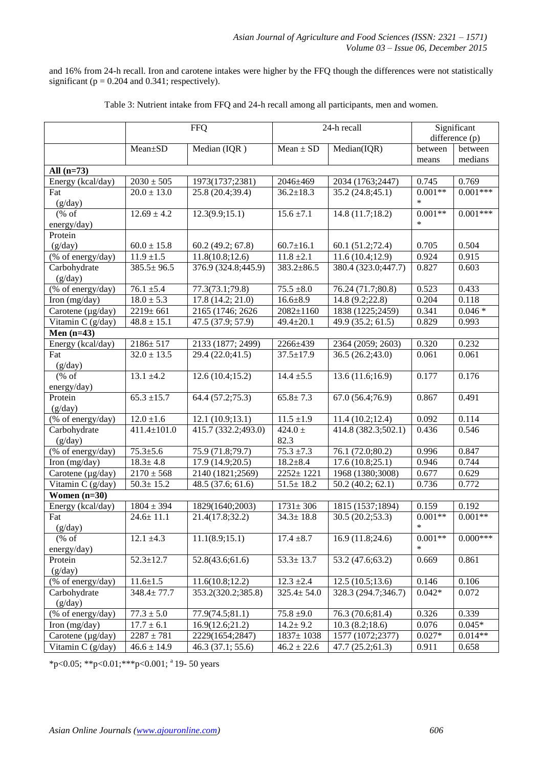and 16% from 24-h recall. Iron and carotene intakes were higher by the FFQ though the differences were not statistically significant ( $p = 0.204$  and 0.341; respectively).

|                                  | <b>FFQ</b>        |                     | 24-h recall      |                     | Significant    |            |
|----------------------------------|-------------------|---------------------|------------------|---------------------|----------------|------------|
|                                  |                   |                     |                  |                     | difference (p) |            |
|                                  | Mean±SD           | Median (IQR)        | $Mean \pm SD$    | Median(IQR)         | between        | between    |
|                                  |                   |                     |                  |                     | means          | medians    |
| All $(n=73)$                     |                   |                     |                  |                     |                |            |
| Energy (kcal/day)                | $2030 \pm 505$    | 1973(1737;2381)     | 2046±469         | 2034 (1763;2447)    | 0.745          | 0.769      |
| Fat                              | $20.0 \pm 13.0$   | 25.8 (20.4;39.4)    | $36.2 \pm 18.3$  | 35.2 (24.8;45.1)    | $0.001**$      | $0.001***$ |
| (g/day)                          |                   |                     |                  |                     | *              |            |
| $(\%$ of                         | $12.69 \pm 4.2$   | 12.3(9.9;15.1)      | $15.6 \pm 7.1$   | 14.8(11.7;18.2)     | $0.001**$      | $0.001***$ |
| energy/day)                      |                   |                     |                  |                     | $\ast$         |            |
| Protein                          |                   |                     |                  |                     |                |            |
| (g/day)                          | $60.0 \pm 15.8$   | 60.2 (49.2; 67.8)   | $60.7 \pm 16.1$  | 60.1 (51.2;72.4)    | 0.705          | 0.504      |
| $(\%$ of energy/day)             | $11.9 \pm 1.5$    | 11.8(10.8;12.6)     | $11.8 \pm 2.1$   | 11.6(10.4;12.9)     | 0.924          | 0.915      |
| Carbohydrate                     | $385.5 \pm 96.5$  | 376.9 (324.8;445.9) | $383.2 \pm 86.5$ | 380.4 (323.0;447.7) | 0.827          | 0.603      |
| (g/day)                          |                   |                     |                  |                     |                |            |
| (% of energy/day)                | $76.1 \pm 5.4$    | 77.3(73.1;79.8)     | $75.5 \pm 8.0$   | 76.24 (71.7;80.8)   | 0.523          | 0.433      |
| Iron (mg/day)                    | $18.0 \pm 5.3$    | 17.8(14.2; 21.0)    | $16.6 \pm 8.9$   | 14.8 (9.2;22.8)     | 0.204          | 0.118      |
| Carotene (µg/day)                | 2219±661          | 2165 (1746; 2626)   | $2082 \pm 1160$  | 1838 (1225;2459)    | 0.341          | $0.046*$   |
| Vitamin $C$ (g/day)              | $48.8 \pm 15.1$   | 47.5 (37.9; 57.9)   | $49.4 \pm 20.1$  | 49.9 (35.2; 61.5)   | 0.829          | 0.993      |
| Men $(n=43)$                     |                   |                     |                  |                     |                |            |
| Energy (kcal/day)                | $2186 \pm 517$    | 2133 (1877; 2499)   | 2266±439         | 2364 (2059; 2603)   | 0.320          | 0.232      |
| Fat                              | $32.0 \pm 13.5$   | 29.4(22.0;41.5)     | $37.5 \pm 17.9$  | 36.5(26.2;43.0)     | 0.061          | 0.061      |
| (g/day)                          |                   |                     |                  |                     |                |            |
| $(% \mathcal{L}_{0}^{\infty}$ of | $13.1 \pm 4.2$    | 12.6(10.4;15.2)     | $14.4 \pm 5.5$   | 13.6(11.6;16.9)     | 0.177          | 0.176      |
| energy/day)                      |                   |                     |                  |                     |                |            |
| Protein                          | $65.3 \pm 15.7$   | 64.4 (57.2;75.3)    | $65.8 \pm 7.3$   | 67.0 (56.4;76.9)    | 0.867          | 0.491      |
| (g/day)                          |                   |                     |                  |                     |                |            |
| (% of energy/day)                | $12.0 \pm 1.6$    | 12.1(10.9;13.1)     | $11.5 \pm 1.9$   | 11.4(10.2;12.4)     | 0.092          | 0.114      |
| Carbohydrate                     | $411.4 \pm 101.0$ | 415.7 (332.2;493.0) | $424.0 \pm$      | 414.8 (382.3;502.1) | 0.436          | 0.546      |
| (g/day)                          |                   |                     | 82.3             |                     |                |            |
| (% of energy/day)                | $75.3 \pm 5.6$    | 75.9 (71.8;79.7)    | $75.3 \pm 7.3$   | 76.1 (72.0;80.2)    | 0.996          | 0.847      |
| Iron (mg/day)                    | $18.3 \pm 4.8$    | 17.9 (14.9;20.5)    | $18.2 + 8.4$     | 17.6(10.8;25.1)     | 0.946          | 0.744      |
| Carotene (µg/day)                | $2170 \pm 568$    | 2140 (1821;2569)    | 2252±1221        | 1968 (1380;3008)    | 0.677          | 0.629      |
| Vitamin C (g/day)                | $50.3 \pm 15.2$   | 48.5 (37.6; 61.6)   | $51.5 \pm 18.2$  | 50.2(40.2; 62.1)    | 0.736          | 0.772      |
| Women $(n=30)$                   |                   |                     |                  |                     |                |            |
| Energy (kcal/day)                | $1804 \pm 394$    | 1829(1640;2003)     | $1731 \pm 306$   | 1815 (1537;1894)    | 0.159          | 0.192      |
| Fat                              | $24.6 \pm 11.1$   | 21.4(17.8;32.2)     | $34.3 \pm 18.8$  | 30.5(20.2; 53.3)    | $0.001**$      | $0.001**$  |
| (g/day)                          |                   |                     |                  |                     | $\ast$         |            |
| % of                             | $12.1 \pm 4.3$    | 11.1(8.9;15.1)      | $17.4 \pm 8.7$   | 16.9(11.8;24.6)     | $0.001**$      | $0.000***$ |
| energy/day)                      |                   |                     |                  |                     |                |            |
| Protein                          | $52.3 \pm 12.7$   | 52.8(43.6;61.6)     | $53.3 \pm 13.7$  | 53.2 (47.6;63.2)    | 0.669          | 0.861      |
| (g/day)                          |                   |                     |                  |                     |                |            |
| (% of energy/day)                | $11.6 \pm 1.5$    | 11.6(10.8;12.2)     | $12.3 \pm 2.4$   | 12.5(10.5;13.6)     | 0.146          | 0.106      |
| Carbohydrate                     | $348.4 \pm 77.7$  | 353.2(320.2;385.8)  | $325.4 \pm 54.0$ | 328.3 (294.7;346.7) | $0.042*$       | 0.072      |
| (g/day)                          |                   |                     |                  |                     |                |            |
| (% of energy/day)                | $77.3 \pm 5.0$    | 77.9(74.5;81.1)     | $75.8 + 9.0$     | 76.3 (70.6;81.4)    | 0.326          | 0.339      |
| Iron (mg/day)                    | $17.7 \pm 6.1$    | 16.9(12.6;21.2)     | $14.2 \pm 9.2$   | 10.3(8.2;18.6)      | 0.076          | $0.045*$   |
| Carotene (µg/day)                | $2287 \pm 781$    | 2229(1654;2847)     | $1837 \pm 1038$  | 1577 (1072;2377)    | $0.027*$       | $0.014**$  |
| Vitamin C (g/day)                | $46.6 \pm 14.9$   | 46.3 (37.1; 55.6)   | $46.2 \pm 22.6$  | 47.7(25.2;61.3)     | 0.911          | 0.658      |

Table 3: Nutrient intake from FFQ and 24-h recall among all participants, men and women.

\*p<0.05; \*\*p<0.01; \*\*\*p<0.001;  $a$  19- 50 years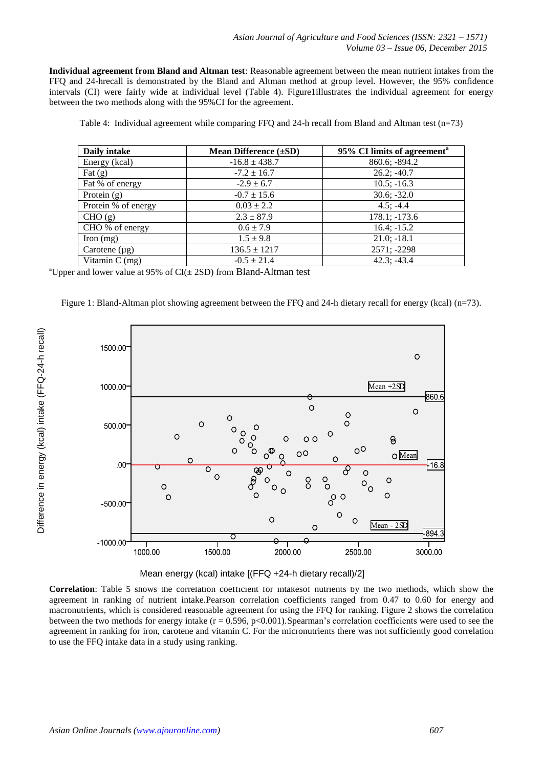**Individual agreement from Bland and Altman test**: Reasonable agreement between the mean nutrient intakes from the FFQ and 24-hrecall is demonstrated by the Bland and Altman method at group level. However, the 95% confidence intervals (CI) were fairly wide at individual level (Table 4). Figure1illustrates the individual agreement for energy between the two methods along with the 95%CI for the agreement.

Table 4: Individual agreement while comparing FFQ and 24-h recall from Bland and Altman test (n=73)

| Daily intake        | <b>Mean Difference</b> $(\pm SD)$ | 95% CI limits of agreement <sup>a</sup> |  |
|---------------------|-----------------------------------|-----------------------------------------|--|
| Energy (kcal)       | $-16.8 \pm 438.7$                 | 860.6; -894.2                           |  |
| Fat $(g)$           | $-7.2 \pm 16.7$                   | $26.2; -40.7$                           |  |
| Fat % of energy     | $-2.9 \pm 6.7$                    | $10.5$ ; $-16.3$                        |  |
| Protein $(g)$       | $-0.7 \pm 15.6$                   | $30.6; -32.0$                           |  |
| Protein % of energy | $0.03 \pm 2.2$                    | $4.5; -4.4$                             |  |
| CHO (g)             | $2.3 \pm 87.9$                    | $178.1; -173.6$                         |  |
| CHO % of energy     | $0.6 \pm 7.9$                     | $16.4; -15.2$                           |  |
| Iron $(mg)$         | $1.5 \pm 9.8$                     | $21.0; -18.1$                           |  |
| Carotene $(\mu g)$  | $136.5 \pm 1217$                  | 2571; -2298                             |  |
| Vitamin $C$ (mg)    | $-0.5 \pm 21.4$                   | $42.3: -43.4$                           |  |

<sup>a</sup>Upper and lower value at 95% of  $CI(\pm 2SD)$  from Bland-Altman test

Figure 1: Bland-Altman plot showing agreement between the FFQ and 24-h dietary recall for energy (kcal) (n=73).





**Correlation**: Table 5 shows the correlation coefficient for intakesof nutrients by the two methods, which show the agreement in ranking of nutrient intake.Pearson correlation coefficients ranged from 0.47 to 0.60 for energy and macronutrients, which is considered reasonable agreement for using the FFQ for ranking. Figure 2 shows the correlation between the two methods for energy intake  $(r = 0.596, p < 0.001)$ . Spearman's correlation coefficients were used to see the agreement in ranking for iron, carotene and vitamin C. For the micronutrients there was not sufficiently good correlation to use the FFQ intake data in a study using ranking.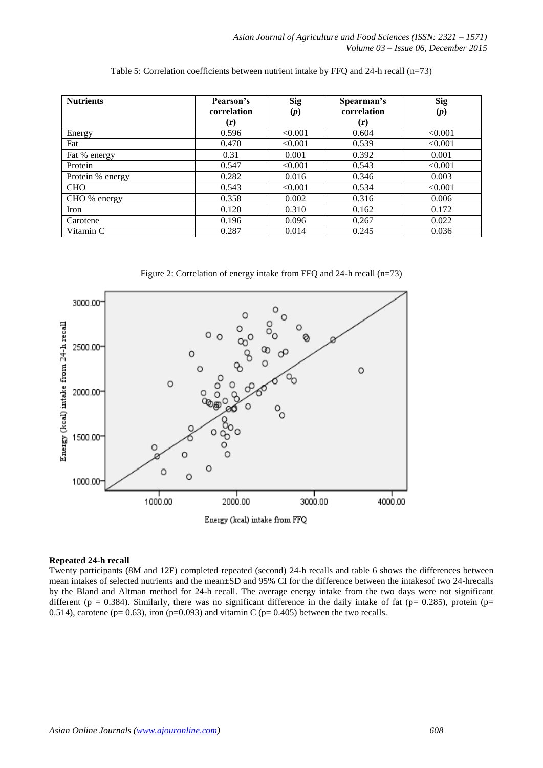| Table 5: Correlation coefficients between nutrient intake by FFQ and 24-h recall $(n=73)$ |
|-------------------------------------------------------------------------------------------|
|-------------------------------------------------------------------------------------------|

| <b>Nutrients</b> | <b>Sig</b><br>Pearson's<br>correlation<br>(p) |         | Spearman's<br>correlation<br>$(\mathbf{r})$ | <b>Sig</b><br>(p) |
|------------------|-----------------------------------------------|---------|---------------------------------------------|-------------------|
| Energy           | $(\mathbf{r})$<br>0.596                       | < 0.001 | 0.604                                       | < 0.001           |
| Fat              | 0.470                                         | < 0.001 | 0.539                                       | < 0.001           |
|                  |                                               |         |                                             |                   |
| Fat % energy     | 0.31                                          | 0.001   | 0.392                                       | 0.001             |
| Protein          | 0.547                                         | < 0.001 | 0.543                                       | < 0.001           |
| Protein % energy | 0.282                                         | 0.016   | 0.346                                       | 0.003             |
| <b>CHO</b>       | 0.543                                         | < 0.001 | 0.534                                       | < 0.001           |
| CHO % energy     | 0.358                                         | 0.002   | 0.316                                       | 0.006             |
| Iron             | 0.120                                         | 0.310   | 0.162                                       | 0.172             |
| Carotene         | 0.196                                         | 0.096   | 0.267                                       | 0.022             |
| Vitamin C        | 0.287                                         | 0.014   | 0.245                                       | 0.036             |

Figure 2: Correlation of energy intake from FFQ and 24-h recall (n=73)



#### **Repeated 24-h recall**

Twenty participants (8M and 12F) completed repeated (second) 24-h recalls and table 6 shows the differences between mean intakes of selected nutrients and the mean±SD and 95% CI for the difference between the intakesof two 24-hrecalls by the Bland and Altman method for 24-h recall. The average energy intake from the two days were not significant different (p = 0.384). Similarly, there was no significant difference in the daily intake of fat (p= 0.285), protein (p= 0.514), carotene ( $p= 0.63$ ), iron ( $p=0.093$ ) and vitamin C ( $p= 0.405$ ) between the two recalls.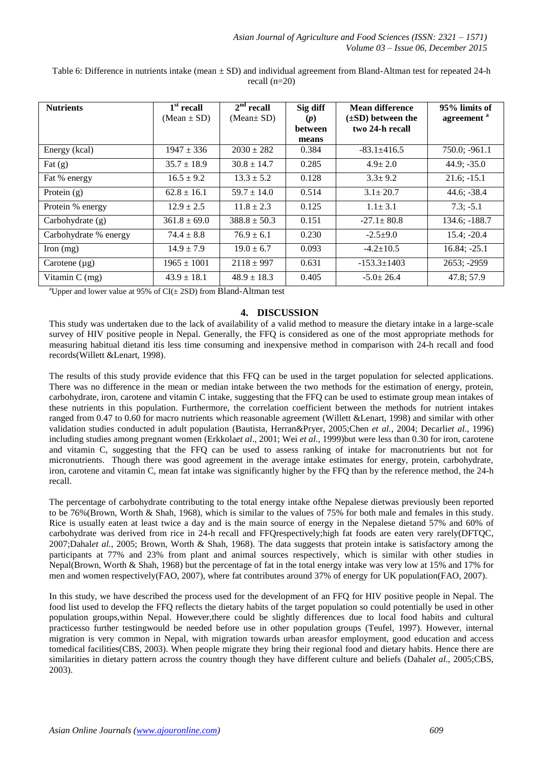| <b>Nutrients</b>      | $1st$ recall     | $2nd$ recall     | Sig diff              | Mean difference                           | 95% limits of          |
|-----------------------|------------------|------------------|-----------------------|-------------------------------------------|------------------------|
|                       | $(Mean \pm SD)$  | (Mean $\pm$ SD)  | (p)<br><b>between</b> | $(\pm SD)$ between the<br>two 24-h recall | agreement <sup>a</sup> |
|                       |                  |                  | means                 |                                           |                        |
| Energy (kcal)         | $1947 \pm 336$   | $2030 \pm 282$   | 0.384                 | $-83.1 + 416.5$                           | $750.0; -961.1$        |
| Fat $(g)$             | $35.7 \pm 18.9$  | $30.8 \pm 14.7$  | 0.285                 | $4.9 \pm 2.0$                             | $44.9; -35.0$          |
| Fat % energy          | $16.5 \pm 9.2$   | $13.3 \pm 5.2$   | 0.128                 | $3.3 \pm 9.2$                             | $21.6$ ; $-15.1$       |
| Protein $(g)$         | $62.8 \pm 16.1$  | $59.7 \pm 14.0$  | 0.514                 | $3.1 \pm 20.7$                            | $44.6; -38.4$          |
| Protein % energy      | $12.9 \pm 2.5$   | $11.8 \pm 2.3$   | 0.125                 | $1.1 \pm 3.1$                             | $7.3; -5.1$            |
| Carbohydrate (g)      | $361.8 \pm 69.0$ | $388.8 \pm 50.3$ | 0.151                 | $-27.1 \pm 80.8$                          | $134.6; -188.7$        |
| Carbohydrate % energy | $74.4 \pm 8.8$   | $76.9 \pm 6.1$   | 0.230                 | $-2.5+9.0$                                | $15.4; -20.4$          |
| Iron $(mg)$           | $14.9 \pm 7.9$   | $19.0 \pm 6.7$   | 0.093                 | $-4.2 \pm 10.5$                           | $16.84; -25.1$         |
| Carotene $(\mu g)$    | $1965 \pm 1001$  | $2118 \pm 997$   | 0.631                 | $-153.3 \pm 1403$                         | $2653; -2959$          |
| Vitamin $C$ (mg)      | $43.9 \pm 18.1$  | $48.9 \pm 18.3$  | 0.405                 | $-5.0 \pm 26.4$                           | 47.8; 57.9             |

Table 6: Difference in nutrients intake (mean  $\pm$  SD) and individual agreement from Bland-Altman test for repeated 24-h recall (n=20)

<sup>a</sup>Upper and lower value at 95% of  $CI(\pm 2SD)$  from Bland-Altman test

## **4. DISCUSSION**

This study was undertaken due to the lack of availability of a valid method to measure the dietary intake in a large-scale survey of HIV positive people in Nepal. Generally, the FFQ is considered as one of the most appropriate methods for measuring habitual dietand itis less time consuming and inexpensive method in comparison with 24-h recall and food records(Willett &Lenart, 1998).

The results of this study provide evidence that this FFQ can be used in the target population for selected applications. There was no difference in the mean or median intake between the two methods for the estimation of energy, protein, carbohydrate, iron, carotene and vitamin C intake, suggesting that the FFQ can be used to estimate group mean intakes of these nutrients in this population. Furthermore, the correlation coefficient between the methods for nutrient intakes ranged from 0.47 to 0.60 for macro nutrients which reasonable agreement (Willett &Lenart, 1998) and similar with other validation studies conducted in adult population (Bautista, Herran&Pryer, 2005;Chen *et al.*, 2004; Decarli*et al*., 1996) including studies among pregnant women (Erkkola*et al*., 2001; Wei *et al.,* 1999)but were less than 0.30 for iron, carotene and vitamin C, suggesting that the FFQ can be used to assess ranking of intake for macronutrients but not for micronutrients. Though there was good agreement in the average intake estimates for energy, protein, carbohydrate, iron, carotene and vitamin C, mean fat intake was significantly higher by the FFQ than by the reference method, the 24-h recall.

The percentage of carbohydrate contributing to the total energy intake ofthe Nepalese dietwas previously been reported to be 76%(Brown, Worth & Shah, 1968), which is similar to the values of 75% for both male and females in this study. Rice is usually eaten at least twice a day and is the main source of energy in the Nepalese dietand 57% and 60% of carbohydrate was derived from rice in 24-h recall and FFQrespectively;high fat foods are eaten very rarely(DFTQC, 2007;Dahal*et al.*, 2005; Brown, Worth & Shah, 1968). The data suggests that protein intake is satisfactory among the participants at 77% and 23% from plant and animal sources respectively, which is similar with other studies in Nepal(Brown, Worth & Shah, 1968) but the percentage of fat in the total energy intake was very low at 15% and 17% for men and women respectively(FAO, 2007), where fat contributes around 37% of energy for UK population(FAO, 2007).

In this study, we have described the process used for the development of an FFO for HIV positive people in Nepal. The food list used to develop the FFQ reflects the dietary habits of the target population so could potentially be used in other population groups,within Nepal. However,there could be slightly differences due to local food habits and cultural practicesso further testingwould be needed before use in other population groups (Teufel, 1997). However, internal migration is very common in Nepal, with migration towards urban areasfor employment, good education and access tomedical facilities(CBS, 2003). When people migrate they bring their regional food and dietary habits. Hence there are similarities in dietary pattern across the country though they have different culture and beliefs (Dahal*et al*., 2005;CBS, 2003).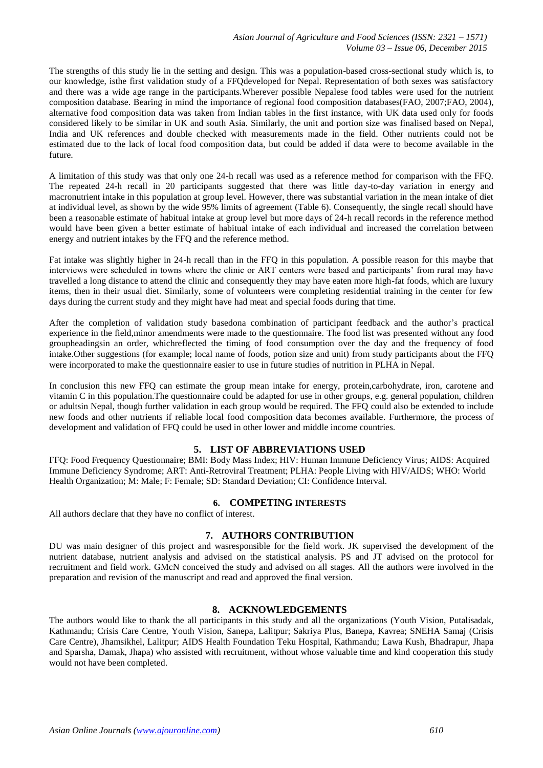The strengths of this study lie in the setting and design. This was a population-based cross-sectional study which is, to our knowledge, isthe first validation study of a FFQdeveloped for Nepal. Representation of both sexes was satisfactory and there was a wide age range in the participants.Wherever possible Nepalese food tables were used for the nutrient composition database. Bearing in mind the importance of regional food composition databases(FAO, 2007;FAO, 2004), alternative food composition data was taken from Indian tables in the first instance, with UK data used only for foods considered likely to be similar in UK and south Asia. Similarly, the unit and portion size was finalised based on Nepal, India and UK references and double checked with measurements made in the field. Other nutrients could not be estimated due to the lack of local food composition data, but could be added if data were to become available in the future.

A limitation of this study was that only one 24-h recall was used as a reference method for comparison with the FFQ. The repeated 24-h recall in 20 participants suggested that there was little day-to-day variation in energy and macronutrient intake in this population at group level. However, there was substantial variation in the mean intake of diet at individual level, as shown by the wide 95% limits of agreement (Table 6). Consequently, the single recall should have been a reasonable estimate of habitual intake at group level but more days of 24-h recall records in the reference method would have been given a better estimate of habitual intake of each individual and increased the correlation between energy and nutrient intakes by the FFQ and the reference method.

Fat intake was slightly higher in 24-h recall than in the FFQ in this population. A possible reason for this maybe that interviews were scheduled in towns where the clinic or ART centers were based and participants' from rural may have travelled a long distance to attend the clinic and consequently they may have eaten more high-fat foods, which are luxury items, then in their usual diet. Similarly, some of volunteers were completing residential training in the center for few days during the current study and they might have had meat and special foods during that time.

After the completion of validation study basedona combination of participant feedback and the author's practical experience in the field,minor amendments were made to the questionnaire. The food list was presented without any food groupheadingsin an order, whichreflected the timing of food consumption over the day and the frequency of food intake.Other suggestions (for example; local name of foods, potion size and unit) from study participants about the FFQ were incorporated to make the questionnaire easier to use in future studies of nutrition in PLHA in Nepal.

In conclusion this new FFQ can estimate the group mean intake for energy, protein,carbohydrate, iron, carotene and vitamin C in this population.The questionnaire could be adapted for use in other groups, e.g. general population, children or adultsin Nepal, though further validation in each group would be required. The FFQ could also be extended to include new foods and other nutrients if reliable local food composition data becomes available. Furthermore, the process of development and validation of FFQ could be used in other lower and middle income countries.

# **5. LIST OF ABBREVIATIONS USED**

FFQ: Food Frequency Questionnaire; BMI: Body Mass Index; HIV: Human Immune Deficiency Virus; AIDS: Acquired Immune Deficiency Syndrome; ART: Anti-Retroviral Treatment; PLHA: People Living with HIV/AIDS; WHO: World Health Organization; M: Male; F: Female; SD: Standard Deviation; CI: Confidence Interval.

# **6. COMPETING INTERESTS**

All authors declare that they have no conflict of interest.

# **7. AUTHORS CONTRIBUTION**

DU was main designer of this project and wasresponsible for the field work. JK supervised the development of the nutrient database, nutrient analysis and advised on the statistical analysis. PS and JT advised on the protocol for recruitment and field work. GMcN conceived the study and advised on all stages. All the authors were involved in the preparation and revision of the manuscript and read and approved the final version.

## **8. ACKNOWLEDGEMENTS**

The authors would like to thank the all participants in this study and all the organizations (Youth Vision, Putalisadak, Kathmandu; Crisis Care Centre, Youth Vision, Sanepa, Lalitpur; Sakriya Plus, Banepa, Kavrea; SNEHA Samaj (Crisis Care Centre), Jhamsikhel, Lalitpur; AIDS Health Foundation Teku Hospital, Kathmandu; Lawa Kush, Bhadrapur, Jhapa and Sparsha, Damak, Jhapa) who assisted with recruitment, without whose valuable time and kind cooperation this study would not have been completed.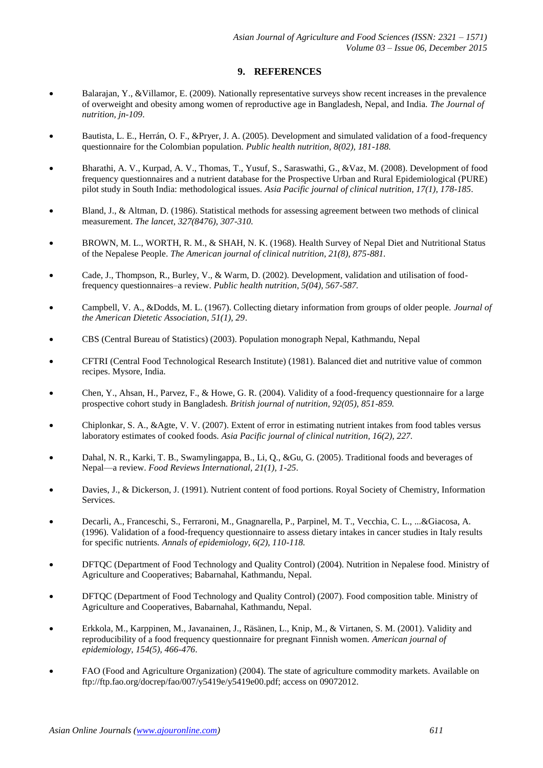## **9. REFERENCES**

- Balarajan, Y., &Villamor, E. (2009). Nationally representative surveys show recent increases in the prevalence of overweight and obesity among women of reproductive age in Bangladesh, Nepal, and India. *The Journal of nutrition, jn-109*.
- Bautista, L. E., Herrán, O. F., &Pryer, J. A. (2005). Development and simulated validation of a food-frequency questionnaire for the Colombian population. *Public health nutrition, 8(02), 181-188.*
- Bharathi, A. V., Kurpad, A. V., Thomas, T., Yusuf, S., Saraswathi, G., &Vaz, M. (2008). Development of food frequency questionnaires and a nutrient database for the Prospective Urban and Rural Epidemiological (PURE) pilot study in South India: methodological issues*. Asia Pacific journal of clinical nutrition, 17(1), 178-185*.
- Bland, J., & Altman, D. (1986). Statistical methods for assessing agreement between two methods of clinical measurement. *The lancet, 327(8476), 307-310.*
- BROWN, M. L., WORTH, R. M., & SHAH, N. K. (1968). Health Survey of Nepal Diet and Nutritional Status of the Nepalese People. *The American journal of clinical nutrition, 21(8), 875-881.*
- Cade, J., Thompson, R., Burley, V., & Warm, D. (2002). Development, validation and utilisation of foodfrequency questionnaires–a review. *Public health nutrition, 5(04), 567-587.*
- Campbell, V. A., &Dodds, M. L. (1967). Collecting dietary information from groups of older people. *Journal of the American Dietetic Association, 51(1), 29*.
- CBS (Central Bureau of Statistics) (2003). Population monograph Nepal, Kathmandu, Nepal
- CFTRI (Central Food Technological Research Institute) (1981). Balanced diet and nutritive value of common recipes. Mysore, India.
- Chen, Y., Ahsan, H., Parvez, F., & Howe, G. R. (2004). Validity of a food-frequency questionnaire for a large prospective cohort study in Bangladesh. *British journal of nutrition, 92(05), 851-859.*
- Chiplonkar, S. A., &Agte, V. V. (2007). Extent of error in estimating nutrient intakes from food tables versus laboratory estimates of cooked foods. *Asia Pacific journal of clinical nutrition, 16(2), 227.*
- Dahal, N. R., Karki, T. B., Swamylingappa, B., Li, Q., &Gu, G. (2005). Traditional foods and beverages of Nepal—a review. *Food Reviews International, 21(1), 1-25*.
- Davies, J., & Dickerson, J. (1991). Nutrient content of food portions. Royal Society of Chemistry, Information Services.
- Decarli, A., Franceschi, S., Ferraroni, M., Gnagnarella, P., Parpinel, M. T., Vecchia, C. L., ...&Giacosa, A. (1996). Validation of a food-frequency questionnaire to assess dietary intakes in cancer studies in Italy results for specific nutrients*. Annals of epidemiology, 6(2), 110-118.*
- DFTQC (Department of Food Technology and Quality Control) (2004). Nutrition in Nepalese food. Ministry of Agriculture and Cooperatives; Babarnahal, Kathmandu, Nepal.
- DFTQC (Department of Food Technology and Quality Control) (2007). Food composition table. Ministry of Agriculture and Cooperatives, Babarnahal, Kathmandu, Nepal.
- Erkkola, M., Karppinen, M., Javanainen, J., Räsänen, L., Knip, M., & Virtanen, S. M. (2001). Validity and reproducibility of a food frequency questionnaire for pregnant Finnish women. *American journal of epidemiology, 154(5), 466-476*.
- FAO (Food and Agriculture Organization) (2004). The state of agriculture commodity markets. Available on ftp://ftp.fao.org/docrep/fao/007/y5419e/y5419e00.pdf; access on 09072012.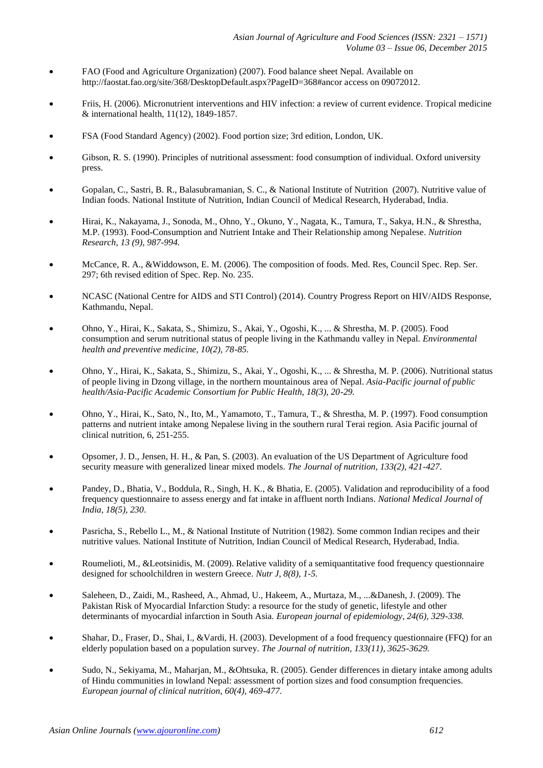- FAO (Food and Agriculture Organization) (2007). Food balance sheet Nepal. Available on http://faostat.fao.org/site/368/DesktopDefault.aspx?PageID=368#ancor access on 09072012.
- Friis, H. (2006). Micronutrient interventions and HIV infection: a review of current evidence. Tropical medicine & international health, 11(12), 1849-1857.
- FSA (Food Standard Agency) (2002). Food portion size; 3rd edition, London, UK.
- Gibson, R. S. (1990). Principles of nutritional assessment: food consumption of individual. Oxford university press.
- Gopalan, C., Sastri, B. R., Balasubramanian, S. C., & National Institute of Nutrition (2007). Nutritive value of Indian foods. National Institute of Nutrition, Indian Council of Medical Research, Hyderabad, India.
- Hirai, K., Nakayama, J., Sonoda, M., Ohno, Y., Okuno, Y., Nagata, K., Tamura, T., Sakya, H.N., & Shrestha, M.P. (1993). Food-Consumption and Nutrient Intake and Their Relationship among Nepalese. *Nutrition Research, 13 (9), 987-994.*
- McCance, R. A., &Widdowson, E. M. (2006). The composition of foods. Med. Res, Council Spec. Rep. Ser. 297; 6th revised edition of Spec. Rep. No. 235.
- NCASC (National Centre for AIDS and STI Control) (2014). Country Progress Report on HIV/AIDS Response, Kathmandu, Nepal.
- Ohno, Y., Hirai, K., Sakata, S., Shimizu, S., Akai, Y., Ogoshi, K., ... & Shrestha, M. P. (2005). Food consumption and serum nutritional status of people living in the Kathmandu valley in Nepal*. Environmental health and preventive medicine, 10(2), 78-85.*
- Ohno, Y., Hirai, K., Sakata, S., Shimizu, S., Akai, Y., Ogoshi, K., ... & Shrestha, M. P. (2006). Nutritional status of people living in Dzong village, in the northern mountainous area of Nepal. *Asia-Pacific journal of public health/Asia-Pacific Academic Consortium for Public Health, 18(3), 20-29.*
- Ohno, Y., Hirai, K., Sato, N., Ito, M., Yamamoto, T., Tamura, T., & Shrestha, M. P. (1997). Food consumption patterns and nutrient intake among Nepalese living in the southern rural Terai region. Asia Pacific journal of clinical nutrition, 6, 251-255.
- Opsomer, J. D., Jensen, H. H., & Pan, S. (2003). An evaluation of the US Department of Agriculture food security measure with generalized linear mixed models. *The Journal of nutrition, 133(2), 421-427*.
- Pandey, D., Bhatia, V., Boddula, R., Singh, H. K., & Bhatia, E. (2005). Validation and reproducibility of a food frequency questionnaire to assess energy and fat intake in affluent north Indians. *National Medical Journal of India, 18(5), 230*.
- Pasricha, S., Rebello L., M., & National Institute of Nutrition (1982). Some common Indian recipes and their nutritive values. National Institute of Nutrition, Indian Council of Medical Research, Hyderabad, India.
- Roumelioti, M., &Leotsinidis, M. (2009). Relative validity of a semiquantitative food frequency questionnaire designed for schoolchildren in western Greece. *Nutr J, 8(8), 1-5.*
- Saleheen, D., Zaidi, M., Rasheed, A., Ahmad, U., Hakeem, A., Murtaza, M., ...&Danesh, J. (2009). The Pakistan Risk of Myocardial Infarction Study: a resource for the study of genetic, lifestyle and other determinants of myocardial infarction in South Asia. *European journal of epidemiology, 24(6), 329-338.*
- Shahar, D., Fraser, D., Shai, I., &Vardi, H. (2003). Development of a food frequency questionnaire (FFQ) for an elderly population based on a population survey. *The Journal of nutrition, 133(11), 3625-3629.*
- Sudo, N., Sekiyama, M., Maharjan, M., &Ohtsuka, R. (2005). Gender differences in dietary intake among adults of Hindu communities in lowland Nepal: assessment of portion sizes and food consumption frequencies. *European journal of clinical nutrition, 60(4), 469-477.*